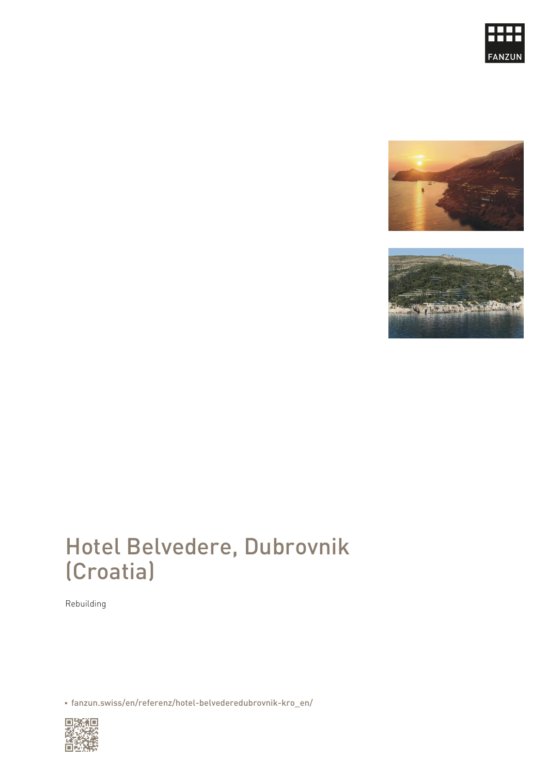## Hotel Belvedere, Dubrovnik (Croatia)

Rebuilding

[fanzun.swiss/en/referenz/hotel-belvederedubrovnik-kro\\_en/](https://www.fanzun.swiss/en/referenz/hotel-belvederedubrovnik-kro_en/)